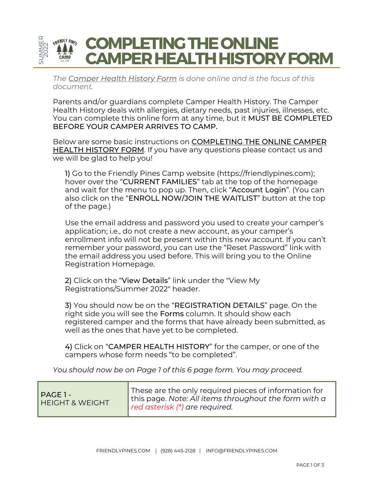

*The Camper Health History Form is done online and is the focus of this document.*

Parents and/or guardians complete Camper Health History. The Camper Health History deals with allergies, dietary needs, past injuries, illnesses, etc. You can complete this online form at any time, but it MUST BE COMPLETED BEFORE YOUR CAMPER ARRIVES TO CAMP.

Below are some basic instructions on COMPLETING THE ONLINE CAMPER HEALTH HISTORY FORM. If you have any questions please contact us and we will be glad to help you!

1) Go to the Friendly Pines Camp website [\(https://friendlypines.com](https://friendlypines.com/)); hover over the "CURRENT FAMILIES" tab at the top of the homepage and wait for the menu to pop up. Then, click "Account Login". (You can also click on the "ENROLL NOW/JOIN THE WAITLIST" button at the top of the page.)

Use the email address and password you used to create your camper's application; i.e., do not create a new account, as your camper's enrollment info will not be present within this new account. If you can't remember your password, you can use the "Reset Password" link with the email address you used before. This will bring you to the Online Registration Homepage.

2) Click on the "View Details" link under the "View My Registrations/Summer 2022" header.

3) You should now be on the "REGISTRATION DETAILS" page. On the right side you will see the Forms column. It should show each registered camper and the forms that have already been submitted, as well as the ones that have yet to be completed.

4) Click on "CAMPER HEALTH HISTORY" for the camper, or one of the campers whose form needs "to be completed".

*You should now be on Page 1 of this 6 page form. You may proceed.*

| PAGE 1 -<br>HEIGHT & WEIGHT | These are the only required pieces of information for<br>this page. Note: All items throughout the form with a<br>red asterisk (*) are required. |
|-----------------------------|--------------------------------------------------------------------------------------------------------------------------------------------------|
|-----------------------------|--------------------------------------------------------------------------------------------------------------------------------------------------|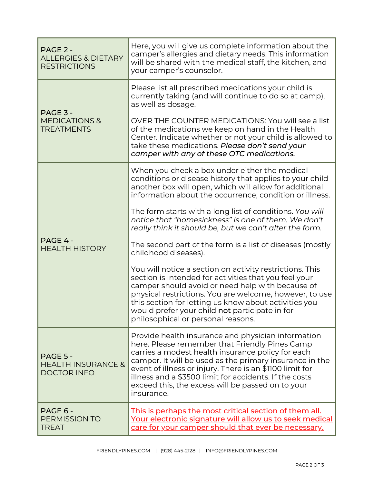| PAGE 2 -<br><b>ALLERGIES &amp; DIETARY</b><br><b>RESTRICTIONS</b> | Here, you will give us complete information about the<br>camper's allergies and dietary needs. This information<br>will be shared with the medical staff, the kitchen, and<br>your camper's counselor.                                                                                                                                                                                                        |  |
|-------------------------------------------------------------------|---------------------------------------------------------------------------------------------------------------------------------------------------------------------------------------------------------------------------------------------------------------------------------------------------------------------------------------------------------------------------------------------------------------|--|
| PAGE 3 -<br><b>MEDICATIONS &amp;</b><br><b>TREATMENTS</b>         | Please list all prescribed medications your child is<br>currently taking (and will continue to do so at camp),<br>as well as dosage.                                                                                                                                                                                                                                                                          |  |
|                                                                   | <b>OVER THE COUNTER MEDICATIONS: You will see a list</b><br>of the medications we keep on hand in the Health<br>Center. Indicate whether or not your child is allowed to<br>take these medications. Please don't send your<br>camper with any of these OTC medications.                                                                                                                                       |  |
| PAGE 4 -<br><b>HEALTH HISTORY</b>                                 | When you check a box under either the medical<br>conditions or disease history that applies to your child<br>another box will open, which will allow for additional<br>information about the occurrence, condition or illness.                                                                                                                                                                                |  |
|                                                                   | The form starts with a long list of conditions. You will<br>notice that "homesickness" is one of them. We don't<br>really think it should be, but we can't alter the form.                                                                                                                                                                                                                                    |  |
|                                                                   | The second part of the form is a list of diseases (mostly<br>childhood diseases).                                                                                                                                                                                                                                                                                                                             |  |
|                                                                   | You will notice a section on activity restrictions. This<br>section is intended for activities that you feel your<br>camper should avoid or need help with because of<br>physical restrictions. You are welcome, however, to use<br>this section for letting us know about activities you<br>would prefer your child not participate in for<br>philosophical or personal reasons.                             |  |
| PAGE 5 -<br><b>HEALTH INSURANCE &amp;</b><br><b>DOCTOR INFO</b>   | Provide health insurance and physician information<br>here. Please remember that Friendly Pines Camp<br>carries a modest health insurance policy for each<br>camper. It will be used as the primary insurance in the<br>event of illness or injury. There is an \$1100 limit for<br>illness and a \$3500 limit for accidents. If the costs<br>exceed this, the excess will be passed on to your<br>insurance. |  |
| PAGE 6 -<br><b>PERMISSION TO</b><br><b>TREAT</b>                  | This is perhaps the most critical section of them all.<br><u>Your electronic signature will allow us to seek medical</u><br>care for your camper should that ever be necessary.                                                                                                                                                                                                                               |  |